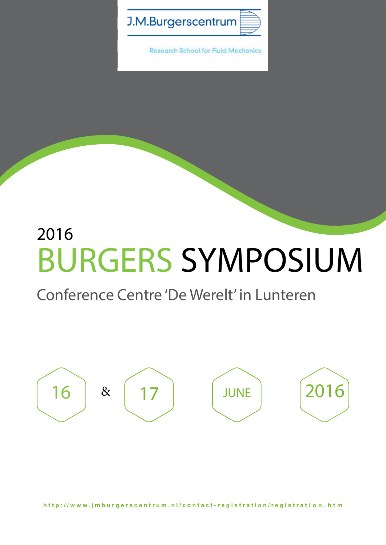

**Research School for Fluid Mechanics** 

# 2016 BURGERS SYMPOSIUM

## Conference Centre 'De Werelt' in Lunteren

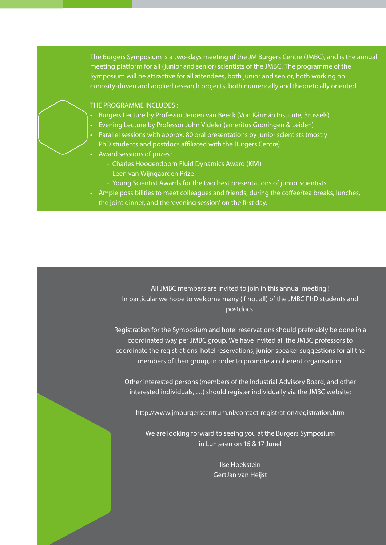The Burgers Symposium is a two-days meeting of the JM Burgers Centre (JMBC), and is the annual meeting platform for all (junior and senior) scientists of the JMBC. The programme of the Symposium will be attractive for all attendees, both junior and senior, both working on curiosity-driven and applied research projects, both numerically and theoretically oriented.

#### THE PROGRAMME INCLUDES :

- Burgers Lecture by Professor Jeroen van Beeck (Von Kármán Institute, Brussels)
- **Evening Lecture by Professor John Videler (emeritus Groningen & Leiden)**
- Parallel sessions with approx. 80 oral presentations by junior scientists (mostly PhD students and postdocs affiliated with the Burgers Centre)
- Award sessions of prizes :
	- Charles Hoogendoorn Fluid Dynamics Award (KIVI)
	- Leen van Wijngaarden Prize
	- Young Scientist Awards for the two best presentations of junior scientists
- Ample possibilities to meet colleagues and friends, during the coffee/tea breaks, lunches, the joint dinner, and the 'evening session' on the first day.

All JMBC members are invited to join in this annual meeting ! In particular we hope to welcome many (if not all) of the JMBC PhD students and postdocs.

Registration for the Symposium and hotel reservations should preferably be done in a coordinated way per JMBC group. We have invited all the JMBC professors to coordinate the registrations, hotel reservations, junior-speaker suggestions for all the members of their group, in order to promote a coherent organisation.

Other interested persons (members of the Industrial Advisory Board, and other interested individuals, …) should register individually via the JMBC website:

http://www.jmburgerscentrum.nl/contact-registration/registration.htm

We are looking forward to seeing you at the Burgers Symposium in Lunteren on 16 & 17 June!

> Ilse Hoekstein GertJan van Heijst